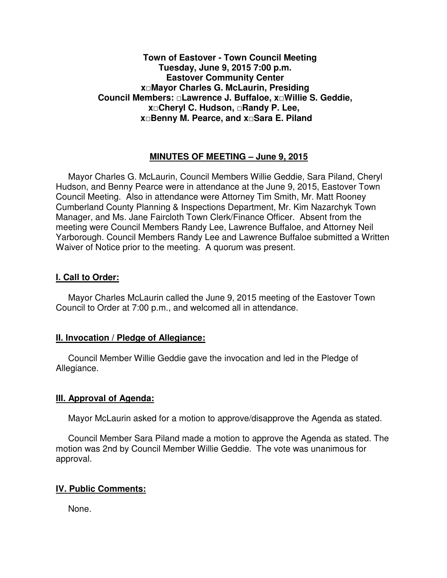# **Town of Eastover - Town Council Meeting Tuesday, June 9, 2015 7:00 p.m. Eastover Community Center x□Mayor Charles G. McLaurin, Presiding Council Members: □Lawrence J. Buffaloe, x□Willie S. Geddie, x□Cheryl C. Hudson, □Randy P. Lee, x□Benny M. Pearce, and x□Sara E. Piland**

# **MINUTES OF MEETING – June 9, 2015**

Mayor Charles G. McLaurin, Council Members Willie Geddie, Sara Piland, Cheryl Hudson, and Benny Pearce were in attendance at the June 9, 2015, Eastover Town Council Meeting. Also in attendance were Attorney Tim Smith, Mr. Matt Rooney Cumberland County Planning & Inspections Department, Mr. Kim Nazarchyk Town Manager, and Ms. Jane Faircloth Town Clerk/Finance Officer. Absent from the meeting were Council Members Randy Lee, Lawrence Buffaloe, and Attorney Neil Yarborough. Council Members Randy Lee and Lawrence Buffaloe submitted a Written Waiver of Notice prior to the meeting. A quorum was present.

#### **I. Call to Order:**

Mayor Charles McLaurin called the June 9, 2015 meeting of the Eastover Town Council to Order at 7:00 p.m., and welcomed all in attendance.

#### **II. Invocation / Pledge of Allegiance:**

 Council Member Willie Geddie gave the invocation and led in the Pledge of Allegiance.

### **III. Approval of Agenda:**

Mayor McLaurin asked for a motion to approve/disapprove the Agenda as stated.

 Council Member Sara Piland made a motion to approve the Agenda as stated. The motion was 2nd by Council Member Willie Geddie. The vote was unanimous for approval.

## **IV. Public Comments:**

None.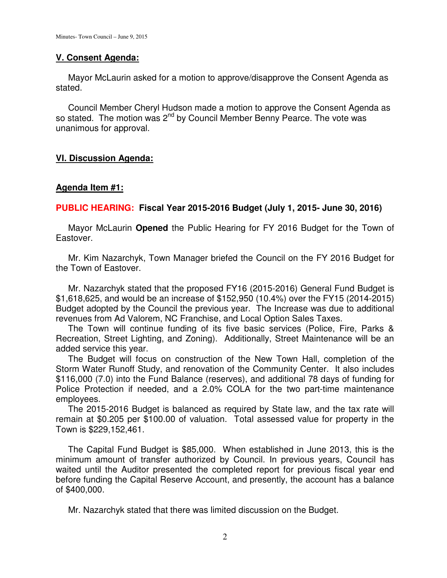### **V. Consent Agenda:**

 Mayor McLaurin asked for a motion to approve/disapprove the Consent Agenda as stated.

 Council Member Cheryl Hudson made a motion to approve the Consent Agenda as so stated. The motion was  $2^{nd}$  by Council Member Benny Pearce. The vote was unanimous for approval.

# **VI. Discussion Agenda:**

### **Agenda Item #1:**

### **PUBLIC HEARING: Fiscal Year 2015-2016 Budget (July 1, 2015- June 30, 2016)**

 Mayor McLaurin **Opened** the Public Hearing for FY 2016 Budget for the Town of Eastover.

 Mr. Kim Nazarchyk, Town Manager briefed the Council on the FY 2016 Budget for the Town of Eastover.

 Mr. Nazarchyk stated that the proposed FY16 (2015-2016) General Fund Budget is \$1,618,625, and would be an increase of \$152,950 (10.4%) over the FY15 (2014-2015) Budget adopted by the Council the previous year. The Increase was due to additional revenues from Ad Valorem, NC Franchise, and Local Option Sales Taxes.

 The Town will continue funding of its five basic services (Police, Fire, Parks & Recreation, Street Lighting, and Zoning). Additionally, Street Maintenance will be an added service this year.

 The Budget will focus on construction of the New Town Hall, completion of the Storm Water Runoff Study, and renovation of the Community Center. It also includes \$116,000 (7.0) into the Fund Balance (reserves), and additional 78 days of funding for Police Protection if needed, and a 2.0% COLA for the two part-time maintenance employees.

 The 2015-2016 Budget is balanced as required by State law, and the tax rate will remain at \$0.205 per \$100.00 of valuation. Total assessed value for property in the Town is \$229,152,461.

The Capital Fund Budget is \$85,000. When established in June 2013, this is the minimum amount of transfer authorized by Council. In previous years, Council has waited until the Auditor presented the completed report for previous fiscal year end before funding the Capital Reserve Account, and presently, the account has a balance of \$400,000.

Mr. Nazarchyk stated that there was limited discussion on the Budget.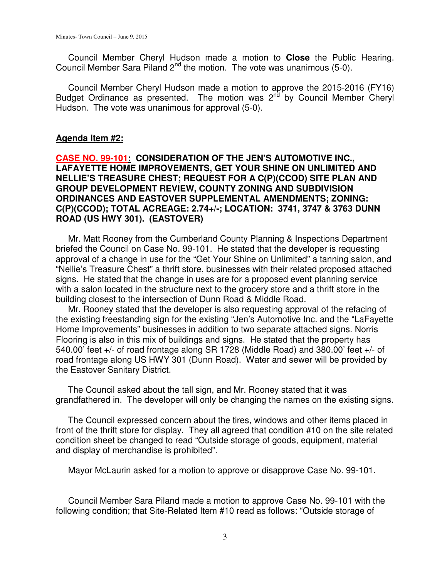Council Member Cheryl Hudson made a motion to **Close** the Public Hearing. Council Member Sara Piland 2<sup>nd</sup> the motion. The vote was unanimous (5-0).

 Council Member Cheryl Hudson made a motion to approve the 2015-2016 (FY16) Budget Ordinance as presented. The motion was  $2<sup>nd</sup>$  by Council Member Cheryl Hudson. The vote was unanimous for approval (5-0).

### **Agenda Item #2:**

**CASE NO. 99-101: CONSIDERATION OF THE JEN'S AUTOMOTIVE INC., LAFAYETTE HOME IMPROVEMENTS, GET YOUR SHINE ON UNLIMITED AND NELLIE'S TREASURE CHEST; REQUEST FOR A C(P)(CCOD) SITE PLAN AND GROUP DEVELOPMENT REVIEW, COUNTY ZONING AND SUBDIVISION ORDINANCES AND EASTOVER SUPPLEMENTAL AMENDMENTS; ZONING: C(P)(CCOD); TOTAL ACREAGE: 2.74+/-; LOCATION: 3741, 3747 & 3763 DUNN ROAD (US HWY 301). (EASTOVER)** 

 Mr. Matt Rooney from the Cumberland County Planning & Inspections Department briefed the Council on Case No. 99-101. He stated that the developer is requesting approval of a change in use for the "Get Your Shine on Unlimited" a tanning salon, and "Nellie's Treasure Chest" a thrift store, businesses with their related proposed attached signs. He stated that the change in uses are for a proposed event planning service with a salon located in the structure next to the grocery store and a thrift store in the building closest to the intersection of Dunn Road & Middle Road.

 Mr. Rooney stated that the developer is also requesting approval of the refacing of the existing freestanding sign for the existing "Jen's Automotive Inc. and the "LaFayette Home Improvements" businesses in addition to two separate attached signs. Norris Flooring is also in this mix of buildings and signs. He stated that the property has 540.00' feet +/- of road frontage along SR 1728 (Middle Road) and 380.00' feet +/- of road frontage along US HWY 301 (Dunn Road). Water and sewer will be provided by the Eastover Sanitary District.

 The Council asked about the tall sign, and Mr. Rooney stated that it was grandfathered in. The developer will only be changing the names on the existing signs.

 The Council expressed concern about the tires, windows and other items placed in front of the thrift store for display. They all agreed that condition #10 on the site related condition sheet be changed to read "Outside storage of goods, equipment, material and display of merchandise is prohibited".

Mayor McLaurin asked for a motion to approve or disapprove Case No. 99-101.

 Council Member Sara Piland made a motion to approve Case No. 99-101 with the following condition; that Site-Related Item #10 read as follows: "Outside storage of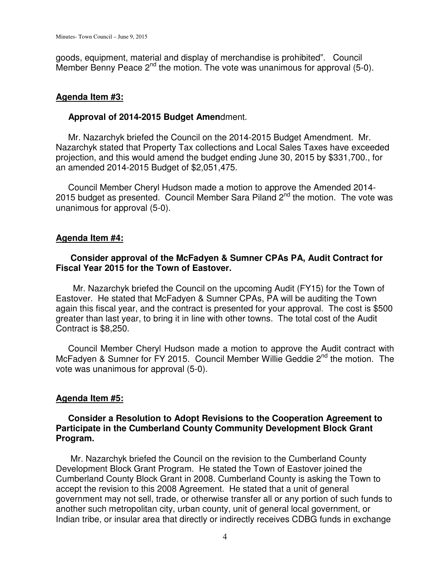goods, equipment, material and display of merchandise is prohibited". Council Member Benny Peace  $2^{nd}$  the motion. The vote was unanimous for approval (5-0).

### **Agenda Item #3:**

### **Approval of 2014-2015 Budget Amen**dment.

 Mr. Nazarchyk briefed the Council on the 2014-2015 Budget Amendment. Mr. Nazarchyk stated that Property Tax collections and Local Sales Taxes have exceeded projection, and this would amend the budget ending June 30, 2015 by \$331,700., for an amended 2014-2015 Budget of \$2,051,475.

 Council Member Cheryl Hudson made a motion to approve the Amended 2014- 2015 budget as presented. Council Member Sara Piland  $2^{nd}$  the motion. The vote was unanimous for approval (5-0).

# **Agenda Item #4:**

# **Consider approval of the McFadyen & Sumner CPAs PA, Audit Contract for Fiscal Year 2015 for the Town of Eastover.**

 Mr. Nazarchyk briefed the Council on the upcoming Audit (FY15) for the Town of Eastover. He stated that McFadyen & Sumner CPAs, PA will be auditing the Town again this fiscal year, and the contract is presented for your approval. The cost is \$500 greater than last year, to bring it in line with other towns. The total cost of the Audit Contract is \$8,250.

 Council Member Cheryl Hudson made a motion to approve the Audit contract with McFadyen & Sumner for FY 2015. Council Member Willie Geddie 2<sup>nd</sup> the motion. The vote was unanimous for approval (5-0).

# **Agenda Item #5:**

# **Consider a Resolution to Adopt Revisions to the Cooperation Agreement to Participate in the Cumberland County Community Development Block Grant Program.**

 Mr. Nazarchyk briefed the Council on the revision to the Cumberland County Development Block Grant Program. He stated the Town of Eastover joined the Cumberland County Block Grant in 2008. Cumberland County is asking the Town to accept the revision to this 2008 Agreement. He stated that a unit of general government may not sell, trade, or otherwise transfer all or any portion of such funds to another such metropolitan city, urban county, unit of general local government, or Indian tribe, or insular area that directly or indirectly receives CDBG funds in exchange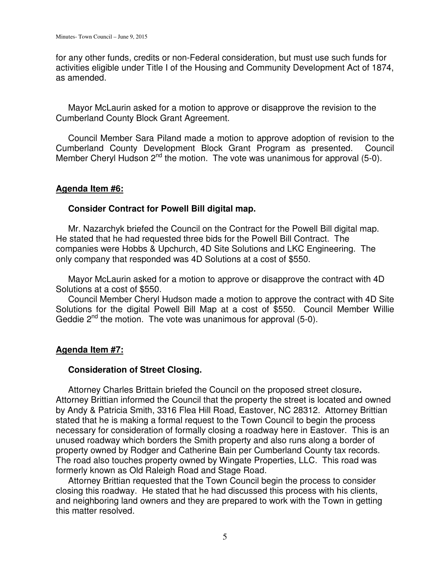for any other funds, credits or non-Federal consideration, but must use such funds for activities eligible under Title I of the Housing and Community Development Act of 1874, as amended.

 Mayor McLaurin asked for a motion to approve or disapprove the revision to the Cumberland County Block Grant Agreement.

 Council Member Sara Piland made a motion to approve adoption of revision to the Cumberland County Development Block Grant Program as presented. Council Member Cheryl Hudson  $2^{nd}$  the motion. The vote was unanimous for approval (5-0).

### **Agenda Item #6:**

# **Consider Contract for Powell Bill digital map.**

 Mr. Nazarchyk briefed the Council on the Contract for the Powell Bill digital map. He stated that he had requested three bids for the Powell Bill Contract. The companies were Hobbs & Upchurch, 4D Site Solutions and LKC Engineering. The only company that responded was 4D Solutions at a cost of \$550.

 Mayor McLaurin asked for a motion to approve or disapprove the contract with 4D Solutions at a cost of \$550.

 Council Member Cheryl Hudson made a motion to approve the contract with 4D Site Solutions for the digital Powell Bill Map at a cost of \$550. Council Member Willie Geddie  $2^{nd}$  the motion. The vote was unanimous for approval (5-0).

# **Agenda Item #7:**

### **Consideration of Street Closing.**

 Attorney Charles Brittain briefed the Council on the proposed street closure**.**  Attorney Brittian informed the Council that the property the street is located and owned by Andy & Patricia Smith, 3316 Flea Hill Road, Eastover, NC 28312. Attorney Brittian stated that he is making a formal request to the Town Council to begin the process necessary for consideration of formally closing a roadway here in Eastover. This is an unused roadway which borders the Smith property and also runs along a border of property owned by Rodger and Catherine Bain per Cumberland County tax records. The road also touches property owned by Wingate Properties, LLC. This road was formerly known as Old Raleigh Road and Stage Road.

 Attorney Brittian requested that the Town Council begin the process to consider closing this roadway. He stated that he had discussed this process with his clients, and neighboring land owners and they are prepared to work with the Town in getting this matter resolved.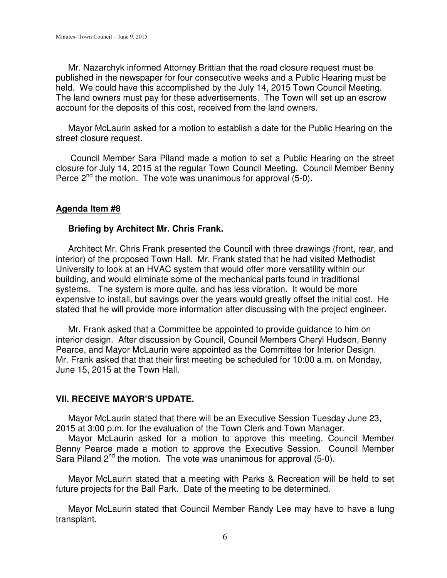Mr. Nazarchyk informed Attorney Brittian that the road closure request must be published in the newspaper for four consecutive weeks and a Public Hearing must be held. We could have this accomplished by the July 14, 2015 Town Council Meeting. The land owners must pay for these advertisements. The Town will set up an escrow account for the deposits of this cost, received from the land owners.

 Mayor McLaurin asked for a motion to establish a date for the Public Hearing on the street closure request.

Council Member Sara Piland made a motion to set a Public Hearing on the street closure for July 14, 2015 at the regular Town Council Meeting. Council Member Benny Perce  $2^{nd}$  the motion. The vote was unanimous for approval (5-0).

### **Agenda Item #8**

#### **Briefing by Architect Mr. Chris Frank.**

 Architect Mr. Chris Frank presented the Council with three drawings (front, rear, and interior) of the proposed Town Hall. Mr. Frank stated that he had visited Methodist University to look at an HVAC system that would offer more versatility within our building, and would eliminate some of the mechanical parts found in traditional systems. The system is more quite, and has less vibration. It would be more expensive to install, but savings over the years would greatly offset the initial cost. He stated that he will provide more information after discussing with the project engineer.

 Mr. Frank asked that a Committee be appointed to provide guidance to him on interior design. After discussion by Council, Council Members Cheryl Hudson, Benny Pearce, and Mayor McLaurin were appointed as the Committee for Interior Design. Mr. Frank asked that that their first meeting be scheduled for 10:00 a.m. on Monday, June 15, 2015 at the Town Hall.

### **VII. RECEIVE MAYOR'S UPDATE.**

Mayor McLaurin stated that there will be an Executive Session Tuesday June 23, 2015 at 3:00 p.m. for the evaluation of the Town Clerk and Town Manager.

 Mayor McLaurin asked for a motion to approve this meeting. Council Member Benny Pearce made a motion to approve the Executive Session. Council Member Sara Piland 2<sup>nd</sup> the motion. The vote was unanimous for approval (5-0).

 Mayor McLaurin stated that a meeting with Parks & Recreation will be held to set future projects for the Ball Park. Date of the meeting to be determined.

 Mayor McLaurin stated that Council Member Randy Lee may have to have a lung transplant.